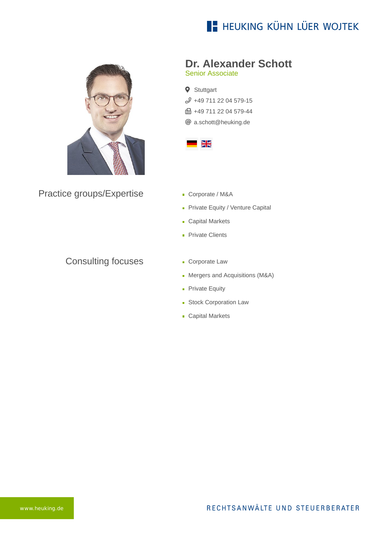# **E- HEUKING KÜHN LÜER WOJTEK**



Practice groups/Expertise

### Consulting focuses

# **Dr. Alexander Schott**

Senior Associate

**9** Stuttgart [+49 711 22 04 579-15](tel:+49711220457915) ft +49 711 22 04 579-44 [a.schott@heuking.de](mailto:a.schott@heuking.de?subject=Contact%20via%20website%20heuking.de)



- Corporate / M&A
- Private Equity / Venture Capital
- **Capital Markets**
- **Private Clients**
- **Corporate Law**
- **Mergers and Acquisitions (M&A)**
- **Private Equity**
- **Stock Corporation Law**
- **Capital Markets**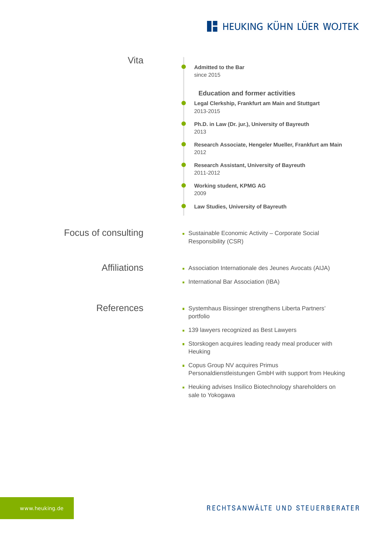# **E- HEUKING KÜHN LÜER WOJTEK**

| Vita                | <b>Admitted to the Bar</b><br>since 2015                                                                                                                                                                                                                                                                                                                                    |
|---------------------|-----------------------------------------------------------------------------------------------------------------------------------------------------------------------------------------------------------------------------------------------------------------------------------------------------------------------------------------------------------------------------|
|                     | <b>Education and former activities</b><br>Legal Clerkship, Frankfurt am Main and Stuttgart<br>2013-2015<br>Ph.D. in Law (Dr. jur.), University of Bayreuth<br>2013<br>Research Associate, Hengeler Mueller, Frankfurt am Main<br>2012<br>Research Assistant, University of Bayreuth<br>2011-2012<br>Working student, KPMG AG<br>2009<br>Law Studies, University of Bayreuth |
| Focus of consulting | • Sustainable Economic Activity - Corporate Social<br>Responsibility (CSR)                                                                                                                                                                                                                                                                                                  |
| <b>Affiliations</b> | Association Internationale des Jeunes Avocats (AIJA)<br>International Bar Association (IBA)                                                                                                                                                                                                                                                                                 |
| <b>References</b>   | · Systemhaus Bissinger strengthens Liberta Partners'<br>portfolio<br>• 139 lawyers recognized as Best Lawyers<br>Storskogen acquires leading ready meal producer with<br>Heuking<br>• Copus Group NV acquires Primus<br>Personaldienstleistungen GmbH with support from Heuking                                                                                             |
|                     |                                                                                                                                                                                                                                                                                                                                                                             |

**[Heuking advises Insilico Biotechnology shareholders on](https://www.heuking.de/en/lawyers/detail/pdf-download.html?lawyer=641&cHash=9dd64d28c99bf279cc6f10e7e4d47995)** sale to Yokogawa